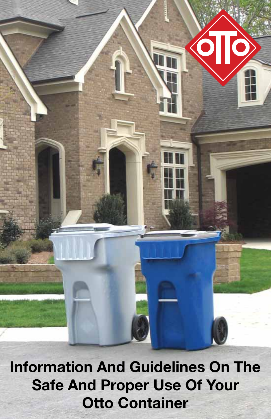

Information And Guidelines On The Safe And Proper Use Of Your Otto Container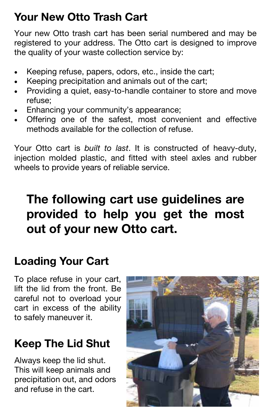### Your New Otto Trash Cart

Your new Otto trash cart has been serial numbered and may be registered to your address. The Otto cart is designed to improve the quality of your waste collection service by:

- Keeping refuse, papers, odors, etc., inside the cart;
- Keeping precipitation and animals out of the cart;
- Providing a quiet, easy-to-handle container to store and move refuse;
- Enhancing your community's appearance;
- Offering one of the safest, most convenient and effective methods available for the collection of refuse.

Your Otto cart is built to last. It is constructed of heavy-duty, injection molded plastic, and fitted with steel axles and rubber wheels to provide years of reliable service.

# The following cart use guidelines are provided to help you get the most out of your new Otto cart.

### Loading Your Cart

To place refuse in your cart, lift the lid from the front. Be careful not to overload your cart in excess of the ability to safely maneuver it.

## Keep The Lid Shut

Always keep the lid shut. This will keep animals and precipitation out, and odors and refuse in the cart.

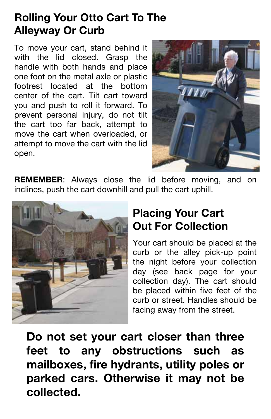#### Rolling Your Otto Cart To The Alleyway Or Curb

To move your cart, stand behind it with the lid closed. Grasp the handle with both hands and place one foot on the metal axle or plastic footrest located at the bottom center of the cart. Tilt cart toward you and push to roll it forward. To prevent personal injury, do not tilt the cart too far back, attempt to move the cart when overloaded, or attempt to move the cart with the lid open.



**REMEMBER:** Always close the lid before moving, and on inclines, push the cart downhill and pull the cart uphill.



#### Placing Your Cart Out For Collection

Your cart should be placed at the curb or the alley pick-up point the night before your collection day (see back page for your collection day). The cart should be placed within five feet of the curb or street. Handles should be facing away from the street.

Do not set your cart closer than three feet to any obstructions such as mailboxes, fire hydrants, utility poles or parked cars. Otherwise it may not be collected.